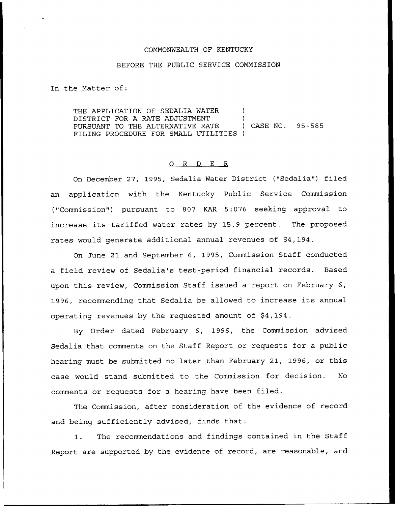#### COMMONWEALTH OF KENTUCKY

#### BEFORE THE PUBLIC SERVICE COMMISSION

In the Matter of:

THE APPLICATION OF SEDALIA WATER  $)$ DISTRICT FOR A RATE ADJUSTMENT )<br>PURSUANT TO THE ALTERNATIVE RATE ) CASE NO. PURSUANT TO THE ALTERNATIVE RATE ) CASE NO. 95-585 FILING PROCEDURE FOR SMALL UTILITIES )

### 0 <sup>R</sup> <sup>D</sup> E <sup>R</sup>

On December 27, 1995, Sedalia Water District ("Sedalia") filed an application with the Kentucky Public Service Commission ("Commission") pursuant to 807 KAR 5:076 seeking approval to increase its tariffed water rates by 15.9 percent. The proposed rates would generate additional annual revenues of \$4,194.

On June 21 and September 6, 1995, Commission Staff conducted a field review of Sedalia's test-period financial records. Based upon this review, Commission Staff issued a report on February 6, 1996, recommending that Sedalia be allowed to increase its annual operating revenues by the requested amount of \$4,194.

By Order dated February 6, 1996, the Commission advised Sedalia that comments on the Staff Report or requests for a public hearing must be submitted no later than February 21, 1996, or this case would stand submitted to the Commission for decision. No comments or requests for a hearing have been filed.

The Commission, after consideration of the evidence of record and being sufficiently advised, finds that:

1. The recommendations and findings contained in the Staff Report are supported by the evidence of record, are reasonable, and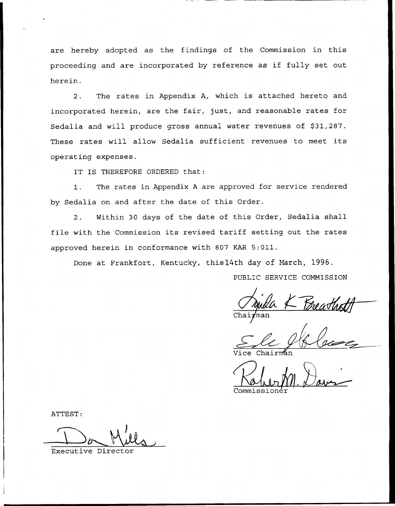are hereby adopted as the findings of the Commission in this proceeding and are incorporated by reference as if fully set out herein.

2. The rates in Appendix A, which is attached hereto and incorporated herein, are the fair, just, and reasonable rates for Sedalia and will produce gross annual water revenues of \$31,287. These rates will allow Sedalia sufficient revenues to meet its operating expenses.

IT IS THEREFORE ORDERED that:

1. The rates in Appendix <sup>A</sup> are approved for service rendered by Sedalia on and after the date of this Order.

2. Within 30 days of the date of this Order, Sedalia shall file with the Commission its revised tariff setting out the rates approved herein in conformance with 807 KAR 5:011.

Done at Frankfort, Kentucky, this14th day of Narch, 1996.

PUBLIC SERVICE COMMISSION

Vice Chairmá

Commissione

ATTEST:

Executive